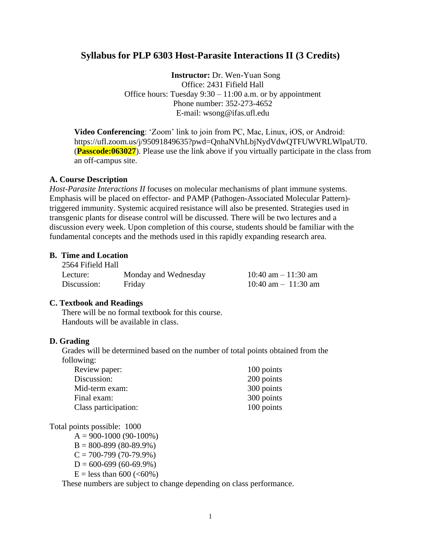# **Syllabus for PLP 6303 Host-Parasite Interactions II (3 Credits)**

**Instructor:** Dr. Wen-Yuan Song Office: 2431 Fifield Hall Office hours: Tuesday 9:30 – 11:00 a.m. or by appointment Phone number: 352-273-4652 E-mail: [wsong@ifas.ufl.edu](mailto:wsong@mail.ifas.ufl.edu)

**Video Conferencing**: 'Zoom' link to join from PC, Mac, Linux, iOS, or Android: https://ufl.zoom.us/j/95091849635?pwd=QnhaNVhLbjNydVdwQTFUWVRLWlpaUT0. (**Passcode:063027**). Please use the link above if you virtually participate in the class from an off-campus site.

### **A. Course Description**

*Host-Parasite Interactions II* focuses on molecular mechanisms of plant immune systems. Emphasis will be placed on effector- and PAMP (Pathogen-Associated Molecular Pattern) triggered immunity. Systemic acquired resistance will also be presented. Strategies used in transgenic plants for disease control will be discussed. There will be two lectures and a discussion every week. Upon completion of this course, students should be familiar with the fundamental concepts and the methods used in this rapidly expanding research area.

#### **B. Time and Location**  $2566$  Figure Hall

| 2564 Fifield Hall |                      |                        |
|-------------------|----------------------|------------------------|
| Lecture:          | Monday and Wednesday | 10:40 am $-$ 11:30 am  |
| Discussion:       | Friday               | $10:40$ am $-11:30$ am |

### **C. Textbook and Readings**

There will be no formal textbook for this course. Handouts will be available in class.

### **D. Grading**

Grades will be determined based on the number of total points obtained from the following:

| Review paper:        | 100 points |
|----------------------|------------|
| Discussion:          | 200 points |
| Mid-term exam:       | 300 points |
| Final exam:          | 300 points |
| Class participation: | 100 points |

Total points possible: 1000

 $A = 900 - 1000 (90 - 100\%)$  $B = 800 - 899(80 - 89.9\%)$  $C = 700 - 799(70 - 79.9%)$  $D = 600 - 699(60 - 69.9%)$  $E =$  less than 600 (<60%)

These numbers are subject to change depending on class performance.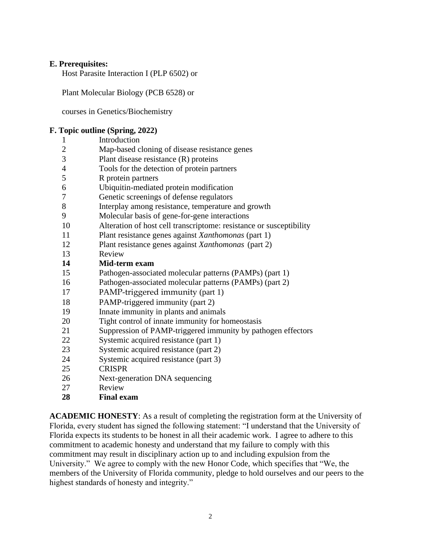# **E. Prerequisites:**

Host Parasite Interaction I (PLP 6502) or

Plant Molecular Biology (PCB 6528) or

courses in Genetics/Biochemistry

## **F. Topic outline (Spring, 2022)**

| $\mathbf{1}$   | Introduction                                                        |
|----------------|---------------------------------------------------------------------|
| $\overline{c}$ | Map-based cloning of disease resistance genes                       |
| $\overline{3}$ | Plant disease resistance $(R)$ proteins                             |
| $\overline{4}$ | Tools for the detection of protein partners                         |
| 5              | R protein partners                                                  |
| 6              | Ubiquitin-mediated protein modification                             |
| 7              | Genetic screenings of defense regulators                            |
| 8              | Interplay among resistance, temperature and growth                  |
| 9              | Molecular basis of gene-for-gene interactions                       |
| 10             | Alteration of host cell transcriptome: resistance or susceptibility |
| 11             | Plant resistance genes against Xanthomonas (part 1)                 |
| 12             | Plant resistance genes against Xanthomonas (part 2)                 |
| 13             | Review                                                              |
| 14             | Mid-term exam                                                       |
| 15             | Pathogen-associated molecular patterns (PAMPs) (part 1)             |
| 16             | Pathogen-associated molecular patterns (PAMPs) (part 2)             |
| 17             | PAMP-triggered immunity (part 1)                                    |
| 18             | PAMP-triggered immunity (part 2)                                    |
| 19             | Innate immunity in plants and animals                               |
| 20             | Tight control of innate immunity for homeostasis                    |
| 21             | Suppression of PAMP-triggered immunity by pathogen effectors        |
| 22             | Systemic acquired resistance (part 1)                               |
| 23             | Systemic acquired resistance (part 2)                               |
| 24             | Systemic acquired resistance (part 3)                               |
| 25             | <b>CRISPR</b>                                                       |
| 26             | Next-generation DNA sequencing                                      |
| 27             | Review                                                              |

**Final exam**

**ACADEMIC HONESTY**: As a result of completing the registration form at the University of Florida, every student has signed the following statement: "I understand that the University of Florida expects its students to be honest in all their academic work. I agree to adhere to this commitment to academic honesty and understand that my failure to comply with this commitment may result in disciplinary action up to and including expulsion from the University." We agree to comply with the new Honor Code, which specifies that "We, the members of the University of Florida community, pledge to hold ourselves and our peers to the highest standards of honesty and integrity."